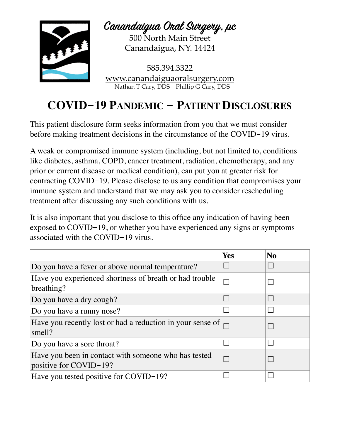

**Canandaigua Oral Sugey, pc** 500 North Main Street

Canandaigua, NY. 14424

585.394.3322 [www.canandaiguaoralsurgery.com](http://www.canandaiguaoralsurgery.com) Nathan T Cary, DDS Phillip G Cary, DDS

## **COVID-19 PANDEMIC - PATIENT DISCLOSURES**

This patient disclosure form seeks information from you that we must consider before making treatment decisions in the circumstance of the COVID-19 virus.

A weak or compromised immune system (including, but not limited to, conditions like diabetes, asthma, COPD, cancer treatment, radiation, chemotherapy, and any prior or current disease or medical condition), can put you at greater risk for contracting COVID-19. Please disclose to us any condition that compromises your immune system and understand that we may ask you to consider rescheduling treatment after discussing any such conditions with us.

It is also important that you disclose to this office any indication of having been exposed to COVID-19, or whether you have experienced any signs or symptoms associated with the COVID-19 virus.

|                                                                                | <b>Yes</b> | N <sub>0</sub>           |
|--------------------------------------------------------------------------------|------------|--------------------------|
| Do you have a fever or above normal temperature?                               |            | $\overline{\phantom{a}}$ |
| Have you experienced shortness of breath or had trouble<br>breathing?          |            |                          |
| Do you have a dry cough?                                                       |            | $\mathbf{L}$             |
| Do you have a runny nose?                                                      |            |                          |
| Have you recently lost or had a reduction in your sense of<br>smell?           |            |                          |
| Do you have a sore throat?                                                     |            |                          |
| Have you been in contact with someone who has tested<br>positive for COVID-19? |            |                          |
| Have you tested positive for COVID-19?                                         |            |                          |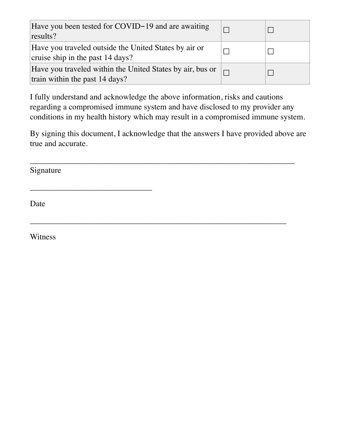| Have you been tested for COVID-19 and are awaiting<br>results?                              |        |  |
|---------------------------------------------------------------------------------------------|--------|--|
| Have you traveled outside the United States by air or<br>cruise ship in the past 14 days?   |        |  |
| Have you traveled within the United States by air, bus or<br>train within the past 14 days? | $\Box$ |  |

I fully understand and acknowledge the above information, risks and cautions regarding a compromised immune system and have disclosed to my provider any conditions in my health history which may result in a compromised immune system.

By signing this document, I acknowledge that the answers I have provided above are true and accurate.

\_\_\_\_\_\_\_\_\_\_\_\_\_\_\_\_\_\_\_\_\_\_\_\_\_\_\_\_\_\_\_\_\_\_\_\_\_\_\_\_\_\_\_\_\_\_\_\_\_\_\_\_\_\_\_\_\_\_\_\_\_\_\_\_\_

\_\_\_\_\_\_\_\_\_\_\_\_\_\_\_\_\_\_\_\_\_\_\_\_\_\_\_\_\_\_\_\_\_\_\_\_\_\_\_\_\_\_\_\_\_\_\_\_\_\_\_\_\_\_\_\_\_\_\_\_\_\_\_

Signature

\_\_\_\_\_\_\_\_\_\_\_\_\_\_\_\_\_\_\_\_\_\_\_\_\_\_\_\_\_\_

Date

Witness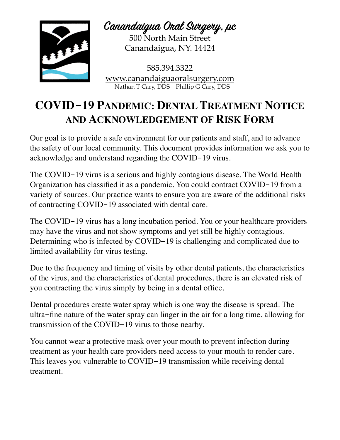

**Canandaigua Oral Sugey, pc**

500 North Main Street Canandaigua, NY. 14424

585.394.3322 [www.canandaiguaoralsurgery.com](http://www.canandaiguaoralsurgery.com) Nathan T Cary, DDS Phillip G Cary, DDS

## **COVID-19 PANDEMIC: DENTAL TREATMENT NOTICE AND ACKNOWLEDGEMENT OF RISK FORM**

Our goal is to provide a safe environment for our patients and staff, and to advance the safety of our local community. This document provides information we ask you to acknowledge and understand regarding the COVID-19 virus.

The COVID-19 virus is a serious and highly contagious disease. The World Health Organization has classified it as a pandemic. You could contract COVID-19 from a variety of sources. Our practice wants to ensure you are aware of the additional risks of contracting COVID-19 associated with dental care.

The COVID-19 virus has a long incubation period. You or your healthcare providers may have the virus and not show symptoms and yet still be highly contagious. Determining who is infected by COVID-19 is challenging and complicated due to limited availability for virus testing.

Due to the frequency and timing of visits by other dental patients, the characteristics of the virus, and the characteristics of dental procedures, there is an elevated risk of you contracting the virus simply by being in a dental office.

Dental procedures create water spray which is one way the disease is spread. The ultra-fine nature of the water spray can linger in the air for a long time, allowing for transmission of the COVID-19 virus to those nearby.

You cannot wear a protective mask over your mouth to prevent infection during treatment as your health care providers need access to your mouth to render care. This leaves you vulnerable to COVID-19 transmission while receiving dental treatment.